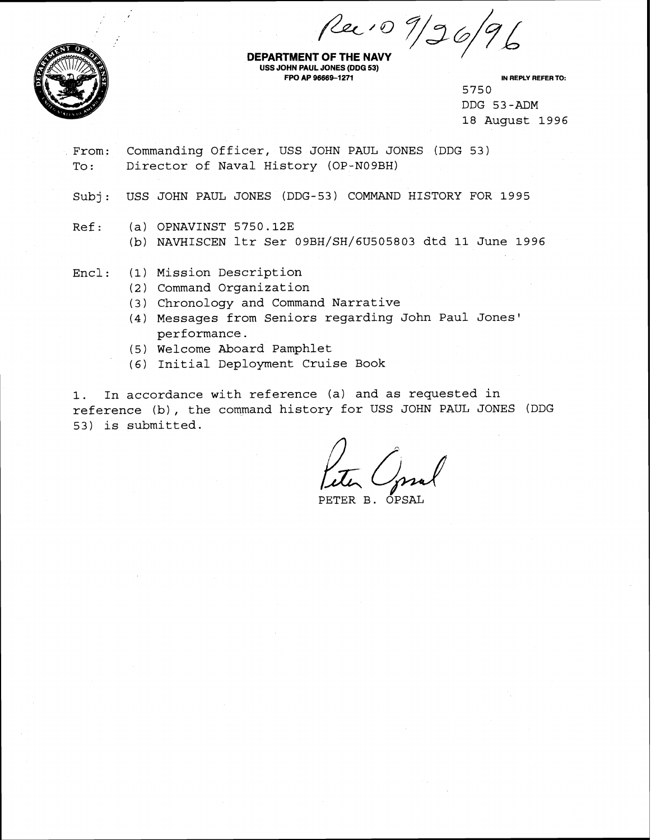*Cec +0 7/96*<br>DEPARTMENT OF THE NAVY



**USS JOHN PAUL JONES (DDG 53) FPO AP 96669-1271 IN REPLY REFER TO:** 

5750 DDG 53-ADM 18 August 1996

From: Commanding Officer, USS JOHN PAUL JONES (DDG 53) To: Director of Naval History (OP-N09BH)

Subj : USS JOHN PAUL JONES (DDG-53) COMMAND HISTORY FOR 1995

Ref: (a) OPNAVINST 5750.12E

(b) NAVHISCEN ltr Ser 09BH/SH/6U505803 dtd 11 June 1996

Encl : (1) Mission Description

- (2) Command Organization
- (3) Chronology and Command Narrative
- (4) Messages from Seniors regarding John Paul Jones' performance.
- (5) Welcome Aboard Pamphlet
- (6) Initial Deployment Cruise Book

1. In accordance with reference (a) and as requested in reference (b), the command history for USS JOHN PAUL JONES (DDG 53) is submitted.

PETER B.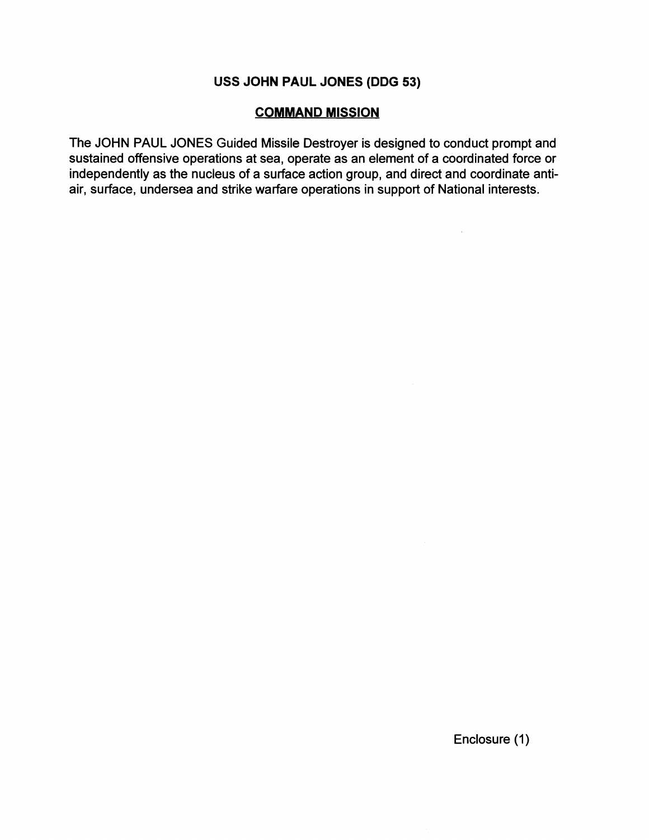## **USS JOHN PAUL JONES (DDG 53)**

## **COMMAND MISSION**

The JOHN PAUL JONES Guided Missile Destroyer is designed to conduct prompt and sustained offensive operations at sea, operate as an element of a coordinated force or independently as the nucleus of a surface action group, and direct and coordinate antiair, surface, undersea and strike warfare operations in support of National interests.

 $\sim 10^{-1}$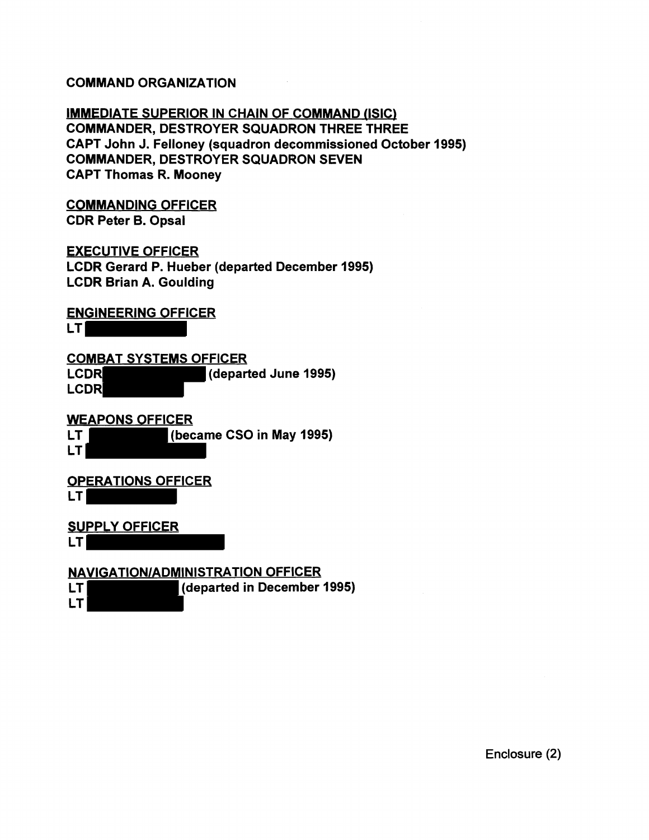## COMMAND ORGANIZATION

IMMEDIATE SUPERIOR IN CHAIN OF COMMAND (ISIC) COMMANDER, DESTROYER SQUADRON THREE THREE CAPT John J. Felloney (squadron decommissioned October **1995)**  COMMANDER, DESTROYER SQUADRON SEVEN CAPT Thomas R. Mooney

COMMANDING OFFICER

CDR Peter B. Opsal

## EXECUTIVE OFFICER

LCDR Gerard P. Hueber (departed December **1995)**  LCDR Brian A. Goulding

## ENGINEERING OFFICER

LT **LT** 

COMBAT SYSTEMS OFFICER LCDR (departed June 1995) LCDR

WEAPONS OFFICER

LT (became CSO in May **1995)** 

LT

### QPERATIONS OFFICER LT

SUPPLY OFFICER

LT

LT

## **~AVIGATIONIADMINISTRATlON** OFFICER

LT (departed in December **1995)**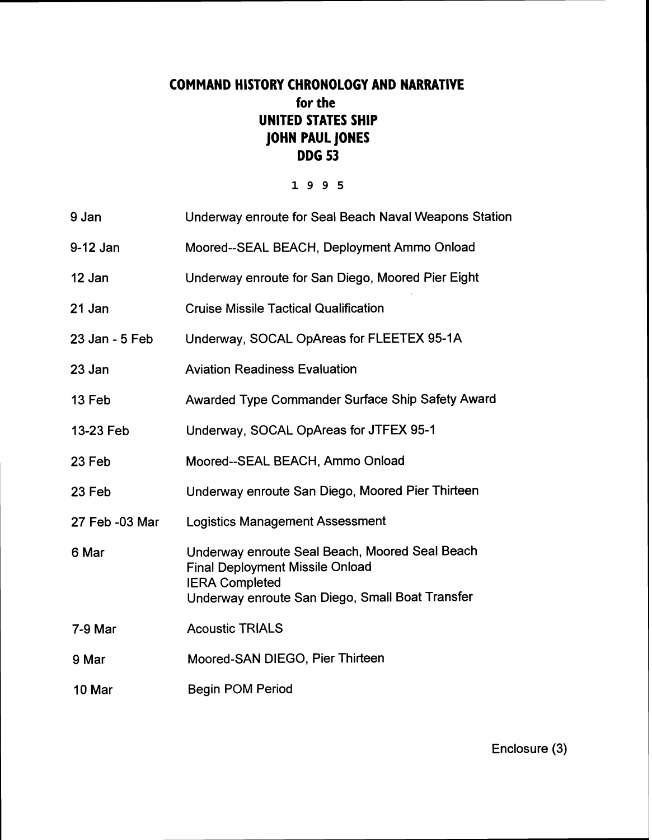# **COMMAND HISTORY CHRONOLOGY AND NARRATIVE for the UNITED STATES SHIP JOHN PAUL JONES DDG 53**

## 1995

| 9 Jan          | Underway enroute for Seal Beach Naval Weapons Station                                                                                                                |
|----------------|----------------------------------------------------------------------------------------------------------------------------------------------------------------------|
| 9-12 Jan       | Moored--SEAL BEACH, Deployment Ammo Onload                                                                                                                           |
| 12 Jan         | Underway enroute for San Diego, Moored Pier Eight                                                                                                                    |
| 21 Jan         | <b>Cruise Missile Tactical Qualification</b>                                                                                                                         |
| 23 Jan - 5 Feb | Underway, SOCAL OpAreas for FLEETEX 95-1A                                                                                                                            |
| 23 Jan         | <b>Aviation Readiness Evaluation</b>                                                                                                                                 |
| 13 Feb         | Awarded Type Commander Surface Ship Safety Award                                                                                                                     |
| 13-23 Feb      | Underway, SOCAL OpAreas for JTFEX 95-1                                                                                                                               |
| 23 Feb         | Moored--SEAL BEACH, Ammo Onload                                                                                                                                      |
| 23 Feb         | Underway enroute San Diego, Moored Pier Thirteen                                                                                                                     |
| 27 Feb -03 Mar | <b>Logistics Management Assessment</b>                                                                                                                               |
| 6 Mar          | Underway enroute Seal Beach, Moored Seal Beach<br><b>Final Deployment Missile Onload</b><br><b>IERA Completed</b><br>Underway enroute San Diego, Small Boat Transfer |
| 7-9 Mar        | <b>Acoustic TRIALS</b>                                                                                                                                               |
| 9 Mar          | Moored-SAN DIEGO, Pier Thirteen                                                                                                                                      |
| 10 Mar         | <b>Begin POM Period</b>                                                                                                                                              |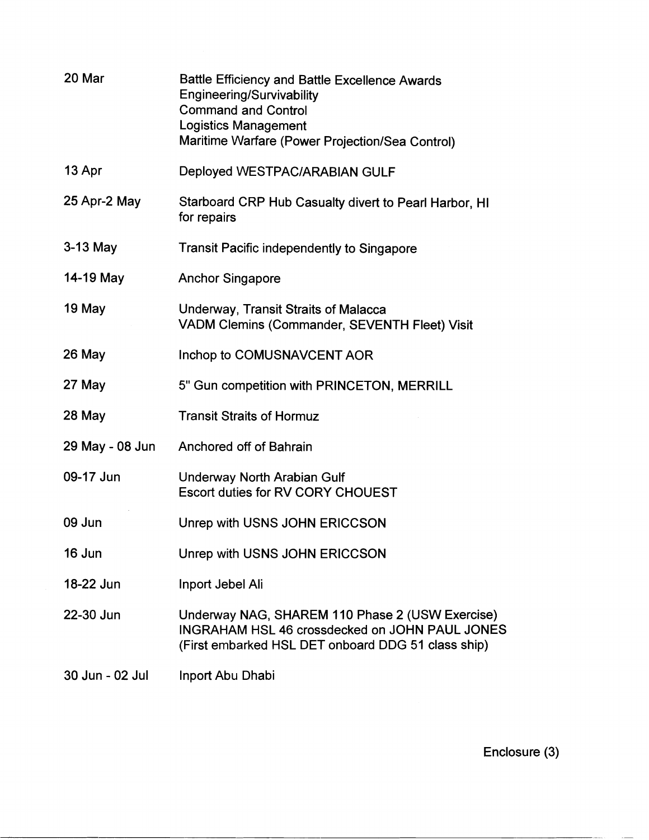| 20 Mar          | Battle Efficiency and Battle Excellence Awards<br>Engineering/Survivability<br><b>Command and Control</b><br><b>Logistics Management</b><br>Maritime Warfare (Power Projection/Sea Control) |
|-----------------|---------------------------------------------------------------------------------------------------------------------------------------------------------------------------------------------|
| 13 Apr          | Deployed WESTPAC/ARABIAN GULF                                                                                                                                                               |
| 25 Apr-2 May    | Starboard CRP Hub Casualty divert to Pearl Harbor, HI<br>for repairs                                                                                                                        |
| $3-13$ May      | Transit Pacific independently to Singapore                                                                                                                                                  |
| 14-19 May       | <b>Anchor Singapore</b>                                                                                                                                                                     |
| 19 May          | Underway, Transit Straits of Malacca<br><b>VADM Clemins (Commander, SEVENTH Fleet) Visit</b>                                                                                                |
| 26 May          | Inchop to COMUSNAVCENT AOR                                                                                                                                                                  |
| 27 May          | 5" Gun competition with PRINCETON, MERRILL                                                                                                                                                  |
| 28 May          | <b>Transit Straits of Hormuz</b>                                                                                                                                                            |
| 29 May - 08 Jun | Anchored off of Bahrain                                                                                                                                                                     |
| 09-17 Jun       | <b>Underway North Arabian Gulf</b><br><b>Escort duties for RV CORY CHOUEST</b>                                                                                                              |
| 09 Jun          | Unrep with USNS JOHN ERICCSON                                                                                                                                                               |
| 16 Jun          | Unrep with USNS JOHN ERICCSON                                                                                                                                                               |
| 18-22 Jun       | Inport Jebel Ali                                                                                                                                                                            |
| 22-30 Jun       | Underway NAG, SHAREM 110 Phase 2 (USW Exercise)<br><b>INGRAHAM HSL 46 crossdecked on JOHN PAUL JONES</b><br>(First embarked HSL DET onboard DDG 51 class ship)                              |
| 30 Jun - 02 Jul | Inport Abu Dhabi                                                                                                                                                                            |

Enclosure **(3)**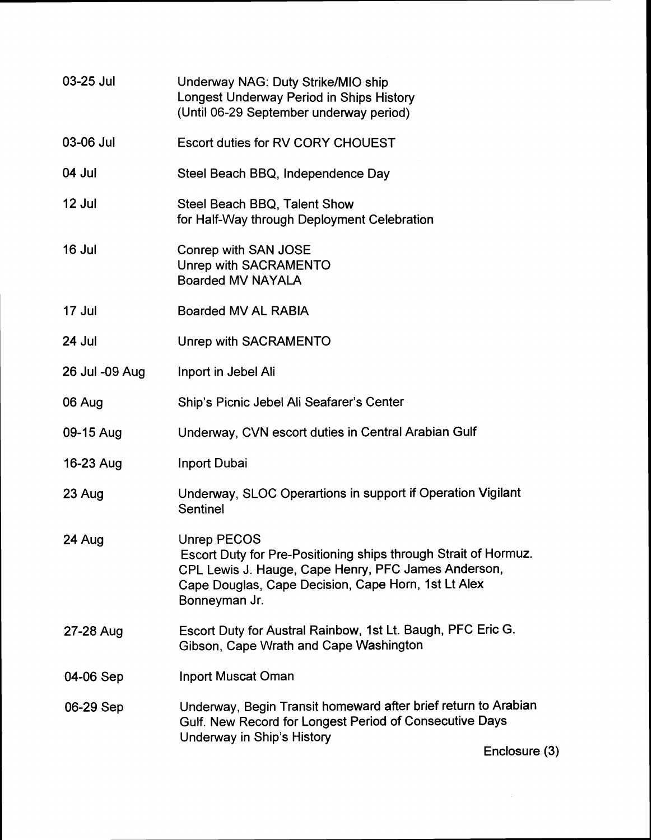| 03-25 Jul      | Underway NAG: Duty Strike/MIO ship<br>Longest Underway Period in Ships History<br>(Until 06-29 September underway period)                                                                                     |
|----------------|---------------------------------------------------------------------------------------------------------------------------------------------------------------------------------------------------------------|
| 03-06 Jul      | Escort duties for RV CORY CHOUEST                                                                                                                                                                             |
| 04 Jul         | Steel Beach BBQ, Independence Day                                                                                                                                                                             |
| 12 Jul         | Steel Beach BBQ, Talent Show<br>for Half-Way through Deployment Celebration                                                                                                                                   |
| 16 Jul         | Conrep with SAN JOSE<br>Unrep with SACRAMENTO<br><b>Boarded MV NAYALA</b>                                                                                                                                     |
| 17 Jul         | <b>Boarded MV AL RABIA</b>                                                                                                                                                                                    |
| 24 Jul         | Unrep with SACRAMENTO                                                                                                                                                                                         |
| 26 Jul -09 Aug | Inport in Jebel Ali                                                                                                                                                                                           |
| 06 Aug         | Ship's Picnic Jebel Ali Seafarer's Center                                                                                                                                                                     |
| 09-15 Aug      | Underway, CVN escort duties in Central Arabian Gulf                                                                                                                                                           |
| 16-23 Aug      | <b>Inport Dubai</b>                                                                                                                                                                                           |
| 23 Aug         | Underway, SLOC Operartions in support if Operation Vigilant<br>Sentinel                                                                                                                                       |
| 24 Aug         | Unrep PECOS<br>Escort Duty for Pre-Positioning ships through Strait of Hormuz.<br>CPL Lewis J. Hauge, Cape Henry, PFC James Anderson,<br>Cape Douglas, Cape Decision, Cape Horn, 1st Lt Alex<br>Bonneyman Jr. |
| 27-28 Aug      | Escort Duty for Austral Rainbow, 1st Lt. Baugh, PFC Eric G.<br>Gibson, Cape Wrath and Cape Washington                                                                                                         |
| 04-06 Sep      | <b>Inport Muscat Oman</b>                                                                                                                                                                                     |
| 06-29 Sep      | Underway, Begin Transit homeward after brief return to Arabian<br>Gulf. New Record for Longest Period of Consecutive Days<br>Underway in Ship's History                                                       |
|                | Enclosure (3)                                                                                                                                                                                                 |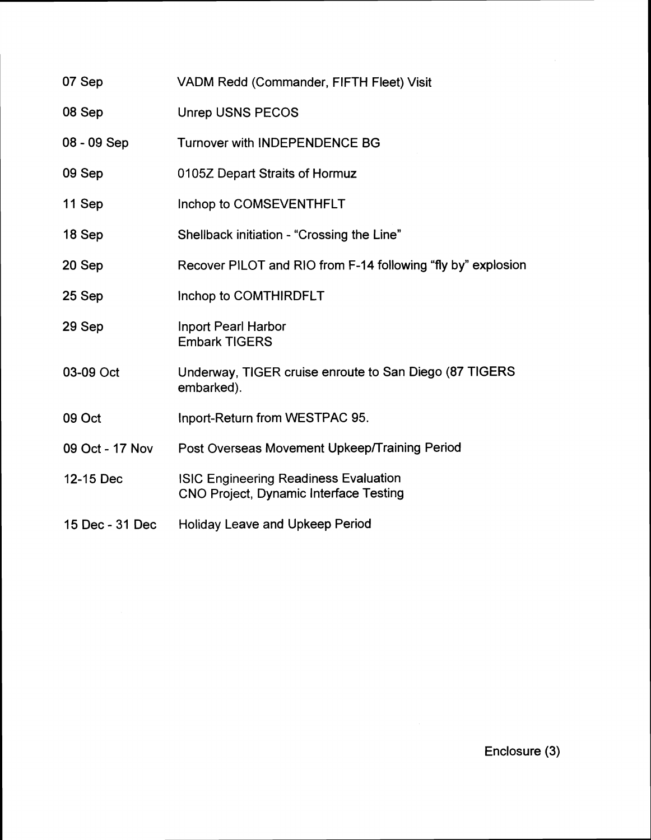| 07 Sep          | VADM Redd (Commander, FIFTH Fleet) Visit                                                      |
|-----------------|-----------------------------------------------------------------------------------------------|
| 08 Sep          | <b>Unrep USNS PECOS</b>                                                                       |
| 08 - 09 Sep     | <b>Turnover with INDEPENDENCE BG</b>                                                          |
| 09 Sep          | 0105Z Depart Straits of Hormuz                                                                |
| 11 Sep          | Inchop to COMSEVENTHFLT                                                                       |
| 18 Sep          | Shellback initiation - "Crossing the Line"                                                    |
| 20 Sep          | Recover PILOT and RIO from F-14 following "fly by" explosion                                  |
| 25 Sep          | Inchop to COMTHIRDFLT                                                                         |
| 29 Sep          | <b>Inport Pearl Harbor</b><br><b>Embark TIGERS</b>                                            |
| 03-09 Oct       | Underway, TIGER cruise enroute to San Diego (87 TIGERS)<br>embarked).                         |
| 09 Oct          | Inport-Return from WESTPAC 95.                                                                |
| 09 Oct - 17 Nov | Post Overseas Movement Upkeep/Training Period                                                 |
| 12-15 Dec       | <b>ISIC Engineering Readiness Evaluation</b><br><b>CNO Project, Dynamic Interface Testing</b> |
| 15 Dec - 31 Dec | <b>Holiday Leave and Upkeep Period</b>                                                        |

Enclosure (3)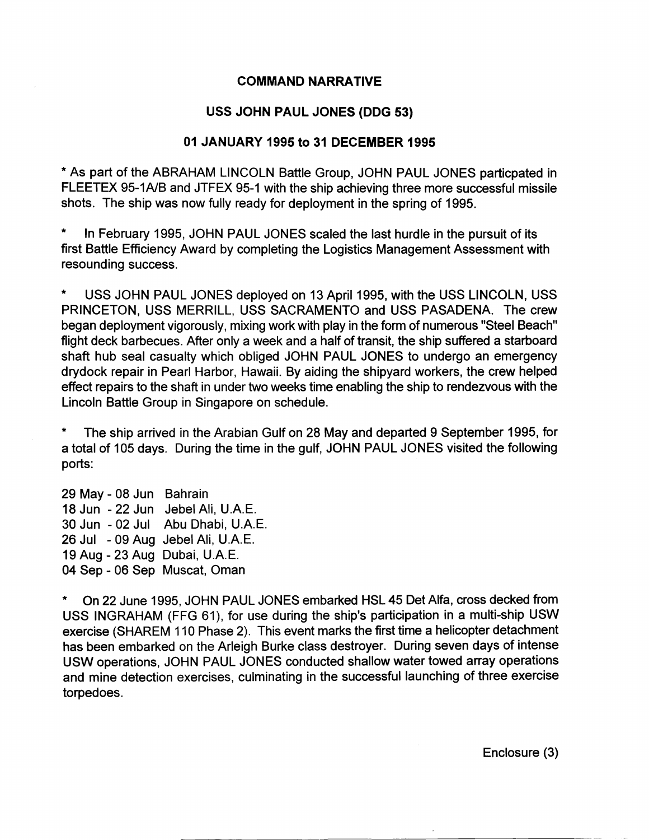### **COMMAND NARRATIVE**

### **USS JOHN PAUL JONES (DDG 53)**

#### **01 JANUARY 1995 to 31 DECEMBER 1995**

\* As part of the ABRAHAM LINCOLN Battle Group, JOHN PAUL JONES particpated in FLEETEX 95-1A/B and JTFEX 95-1 with the ship achieving three more successful missile shots. The ship was now fully ready for deployment in the spring of 1995.

In February 1995, JOHN PAUL JONES scaled the last hurdle in the pursuit of its first Battle Efficiency Award by completing the Logistics Management Assessment with resounding success.

\* USS JOHN PAUL JONES deployed on 13 April 1995, with the USS LINCOLN, USS PRINCETON, USS MERRILL, USS SACRAMENTO and USS PASADENA. The crew began deployment vigorously, mixing work with play in the form of numerous "Steel Beach" flight deck barbecues. After only a week and a half of transit, the ship suffered a starboard shaft hub seal casualty which obliged JOHN PAUL JONES to undergo an emergency drydock repair in Pearl Harbor, Hawaii. By aiding the shipyard workers, the crew helped effect repairs to the shaft in under two weeks time enabling the ship to rendezvous with the Lincoln Battle Group in Singapore on schedule.

The ship arrived in the Arabian Gulf on 28 May and departed 9 September 1995, for a total of 105 days. During the time in the gulf, JOHN PAUL JONES visited the following ports:

29 May - 08 Jun Bahrain 18 Jun - 22 Jun Jebel Ali, U.A.E. 30 Jun - 02 Jul Abu Dhabi, U.A.E. 26 Jul - 09 Aug Jebel Ali, U.A.E. 19 Aug - 23 Aug Dubai, U.A.E. **04** Sep - 06 Sep Muscat, Oman

On 22 June 1995, JOHN PAUL JONES embarked HSL 45 Det Alfa, cross decked from USS INGRAHAM (FFG 61), for use during the ship's participation in a multi-ship USW exercise (SHAREM 110 Phase 2). This event marks the first time a helicopter detachment has been embarked on the Arleigh Burke class destroyer. During seven days of intense USW operations, JOHN PAUL JONES conducted shallow water towed array operations and mine detection exercises, culminating in the successful launching of three exercise torpedoes.

Enclosure (3)